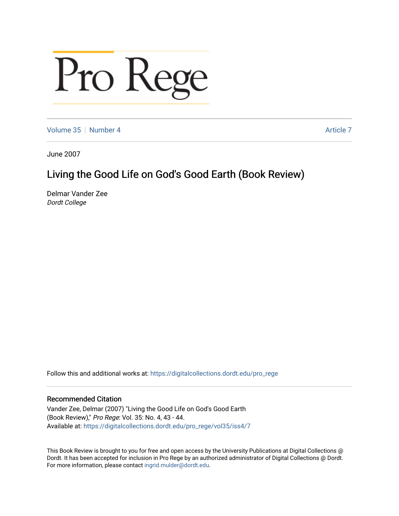## Pro Rege

[Volume 35](https://digitalcollections.dordt.edu/pro_rege/vol35) [Number 4](https://digitalcollections.dordt.edu/pro_rege/vol35/iss4) Article 7

June 2007

## Living the Good Life on God's Good Earth (Book Review)

Delmar Vander Zee Dordt College

Follow this and additional works at: [https://digitalcollections.dordt.edu/pro\\_rege](https://digitalcollections.dordt.edu/pro_rege?utm_source=digitalcollections.dordt.edu%2Fpro_rege%2Fvol35%2Fiss4%2F7&utm_medium=PDF&utm_campaign=PDFCoverPages) 

## Recommended Citation

Vander Zee, Delmar (2007) "Living the Good Life on God's Good Earth (Book Review)," Pro Rege: Vol. 35: No. 4, 43 - 44. Available at: [https://digitalcollections.dordt.edu/pro\\_rege/vol35/iss4/7](https://digitalcollections.dordt.edu/pro_rege/vol35/iss4/7?utm_source=digitalcollections.dordt.edu%2Fpro_rege%2Fvol35%2Fiss4%2F7&utm_medium=PDF&utm_campaign=PDFCoverPages) 

This Book Review is brought to you for free and open access by the University Publications at Digital Collections @ Dordt. It has been accepted for inclusion in Pro Rege by an authorized administrator of Digital Collections @ Dordt. For more information, please contact [ingrid.mulder@dordt.edu](mailto:ingrid.mulder@dordt.edu).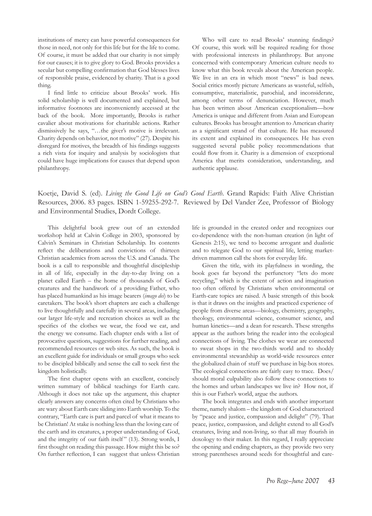institutions of mercy can have powerful consequences for those in need, not only for this life but for the life to come. Of course, it must be added that our charity is not simply for our causes; it is to give glory to God. Brooks provides a secular but compelling confirmation that God blesses lives of responsible praise, evidenced by charity. That is a good thing.

I find little to criticize about Brooks' work. His solid scholarship is well documented and explained, but informative footnotes are inconveniently accessed at the back of the book. More importantly, Brooks is rather cavalier about motivations for charitable actions. Rather dismissively he says, "…the giver's motive is irrelevant. Charity depends on behavior, not motive" (27). Despite his disregard for motives, the breadth of his findings suggests a rich vista for inquiry and analysis by sociologists that could have huge implications for causes that depend upon philanthropy.

Who will care to read Brooks' stunning findings? Of course, this work will be required reading for those with professional interests in philanthropy. But anyone concerned with contemporary American culture needs to know what this book reveals about the American people. We live in an era in which most "news" is bad news. Social critics mostly picture Americans as wasteful, selfish, consumptive, materialistic, parochial, and inconsiderate, among other terms of denunciation. However, much has been written about American exceptionalism—how America is unique and different from Asian and European cultures. Brooks has brought attention to American charity as a significant strand of that culture. He has measured its extent and explained its consequences. He has even suggested several public policy recommendations that could flow from it. Charity is a dimension of exceptional America that merits consideration, understanding, and authentic applause.

Koetje, David S. (ed). *Living the Good Life on God's Good Earth*. Grand Rapids: Faith Alive Christian Resources, 2006. 83 pages. ISBN 1-59255-292-7. Reviewed by Del Vander Zee, Professor of Biology and Environmental Studies, Dordt College.

This delightful book grew out of an extended workshop held at Calvin College in 2003, sponsored by Calvin's Seminars in Christian Scholarship. Its contents reflect the deliberations and convictions of thirteen Christian academics from across the U.S. and Canada. The book is a call to responsible and thoughtful discipleship in all of life, especially in the day-to-day living on a planet called Earth – the home of thousands of God's creatures and the handiwork of a providing Father, who has placed humankind as his image bearers (*imago dei*) to be caretakers. The book's short chapters are each a challenge to live thoughtfully and carefully in several areas, including our larger life-style and recreation choices as well as the specifics of the clothes we wear, the food we eat, and the energy we consume. Each chapter ends with a list of provocative questions, suggestions for further reading, and recommended resources or web sites. As such, the book is an excellent guide for individuals or small groups who seek to be discipled biblically and sense the call to seek first the kingdom holistically.

The first chapter opens with an excellent, concisely written summary of biblical teachings for Earth care. Although it does not take up the argument, this chapter clearly answers any concerns often cited by Christians who are wary about Earth care sliding into Earth worship. To the contrary, "Earth care is part and parcel of what it means to be Christian! At stake is nothing less than the loving care of the earth and its creatures, a proper understanding of God, and the integrity of our faith itself" (13). Strong words, I first thought on reading this passage. How might this be so? On further reflection, I can suggest that unless Christian

life is grounded in the created order and recognizes our co-dependence with the non-human creation (in light of Genesis 2:15), we tend to become arrogant and dualistic and to relegate God to our spiritual life, letting marketdriven mammon call the shots for everyday life.

Given the title, with its playfulness in wording, the book goes far beyond the perfunctory "lets do more recycling," which is the extent of action and imagination too often offered by Christians when environmental or Earth-care topics are raised. A basic strength of this book is that it draws on the insights and practiced experience of people from diverse areas—biology, chemistry, geography, theology, environmental science, consumer science, and human kinetics—and a dean for research. These strengths appear as the authors bring the reader into the ecological connections of living. The clothes we wear are connected to sweat shops in the two-thirds world and to shoddy environmental stewardship as world-wide resources enter the globalized chain of stuff we purchase in big-box stores. The ecological connections are fairly easy to trace. Does/ should moral culpability also follow these connections to the homes and urban landscapes we live in? How not, if this is our Father's world, argue the authors.

The book integrates and ends with another important theme, namely shalom – the kingdom of God characterized by "peace and justice, compassion and delight" (79). That peace, justice, compassion, and delight extend to all God's creatures, living and non-living, so that all may flourish in doxology to their maker. In this regard, I really appreciate the opening and ending chapters, as they provide two very strong parentheses around seeds for thoughtful and care-